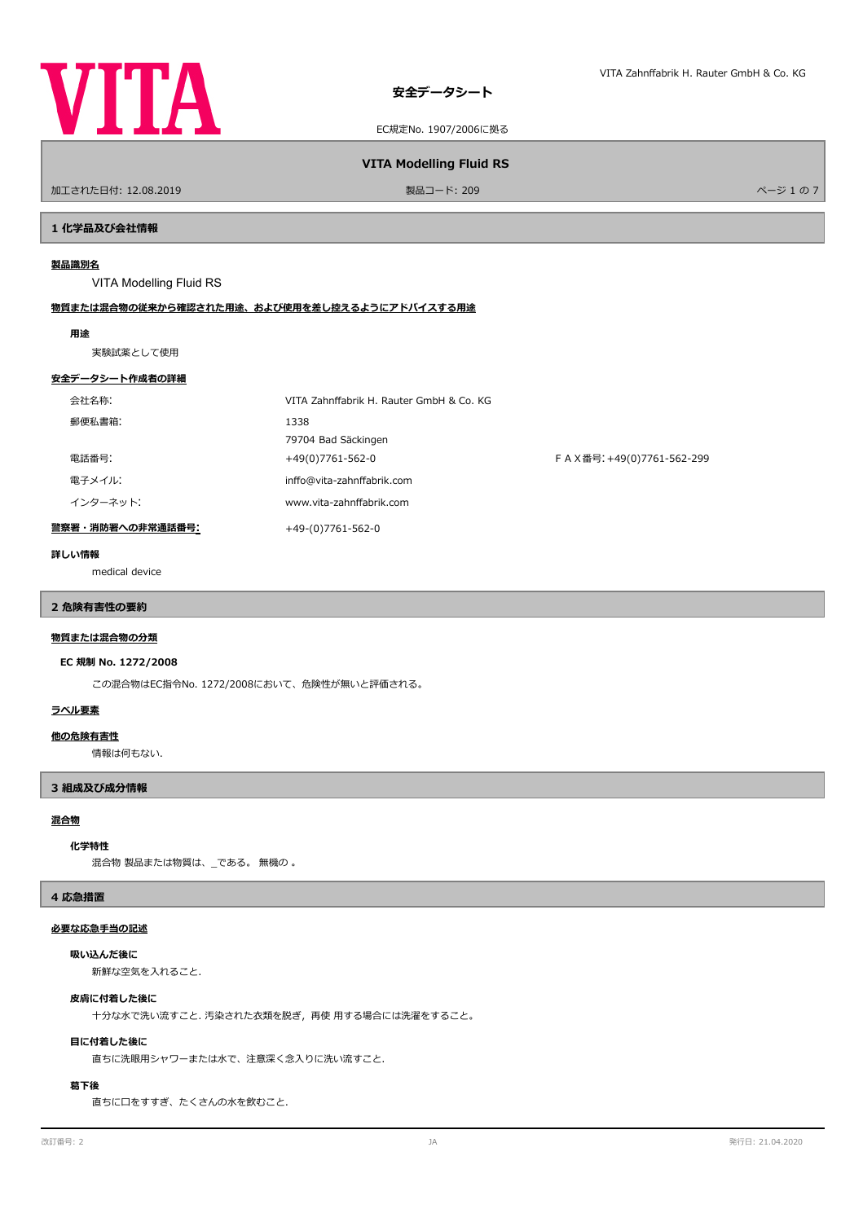

EC規定No. 1907/2006に拠る

**VITA Modelling Fluid RS**

ールエされた日付: 12.08.2019 しかい こうしょう おおとこ かんきょう かんきょう 製品コード: 209 しゅうしょう アイエンジェクト しゅうしょう パージ 1 の 7

**1 化学品及び会社情報**

#### **製品識別名**

VITA Modelling Fluid RS

## **物質または混合物の従来から確認された用途、および使用を差し控えるようにアドバイスする用途**

#### **用途**

実験試薬として使用

#### **安全データシート作成者の詳細**

| 会社名称:            | VITA Zahnffabrik H. Rauter GmbH & Co. KG |                             |
|------------------|------------------------------------------|-----------------------------|
| 郵便私書箱:           | 1338                                     |                             |
|                  | 79704 Bad Säckingen                      |                             |
| 電話番号:            | +49(0)7761-562-0                         | F A X番号: +49(0)7761-562-299 |
| 電子メイル:           | inffo@vita-zahnffabrik.com               |                             |
| インターネット:         | www.vita-zahnffabrik.com                 |                             |
| 警察署・消防署への非常通話番号: | +49-(0)7761-562-0                        |                             |

#### **詳しい情報**

medical device

# **2 危険有害性の要約**

## **物質または混合物の分類**

#### **EC 規制 No. 1272/2008**

この混合物はEC指令No. 1272/2008において、危険性が無いと評価される。

## **ラベル要素**

#### **他の危険有害性**

情報は何もない.

#### **3 組成及び成分情報**

#### **混合物**

#### **化学特性**

混合物 製品または物質は、\_である。 無機の 。

#### **4 応急措置**

### **必要な応急手当の記述**

## **吸い込んだ後に**

新鮮な空気を入れること.

#### **皮膚に付着した後に**

十分な水で洗い流すこと. 汚染された衣類を脱ぎ,再使 用する場合には洗濯をすること。

#### **目に付着した後に**

直ちに洗眼用シャワーまたは水で、注意深く念入りに洗い流すこと.

#### **葛下後**

直ちに口をすすぎ、たくさんの水を飲むこと.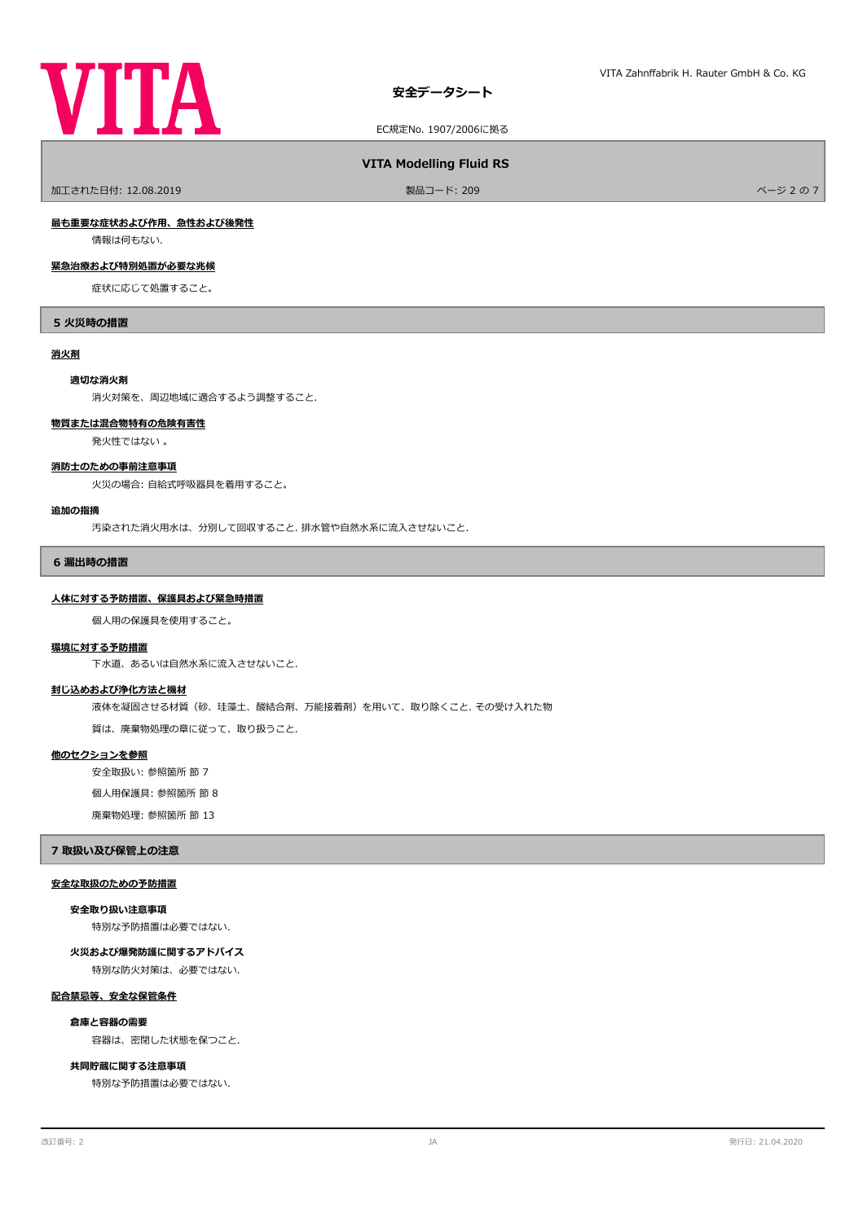

EC規定No. 1907/2006に拠る

#### **VITA Modelling Fluid RS**

ールエされた日付: 12.08.2019 しかい こうしょう おおとこ かんきょう かんきょう 製品コード: 209 しゅうしょう こうしょう アイ・エム アイ・エム スタック パージ 2 の 7

#### **最も重要な症状および作用、急性および後発性**

情報は何もない.

## **緊急治療および特別処置が必要な兆候**

症状に応じて処置すること。

#### **5 火災時の措置**

#### **消火剤**

#### **適切な消火剤**

消火対策を、周辺地域に適合するよう調整すること.

#### **物質または混合物特有の危険有害性**

発火性ではない 。

#### **消防士のための事前注意事項**

火災の場合: 自給式呼吸器具を着用すること。

#### **追加の指摘**

汚染された消火用水は、分別して回収すること. 排水管や自然水系に流入させないこと.

#### **6 漏出時の措置**

#### **人体に対する予防措置、保護具および緊急時措置**

個人用の保護具を使用すること。

#### **環境に対する予防措置**

下水道、あるいは自然水系に流入させないこと.

#### **封じ込めおよび浄化方法と機材**

液体を凝固させる材質(砂、珪藻土、酸結合剤、万能接着剤)を用いて、取り除くこと. その受け入れた物

質は、廃棄物処理の章に従って、取り扱うこと.

#### **他のセクションを参照**

安全取扱い: 参照箇所 節 7

個人用保護具: 参照箇所 節 8

廃棄物処理: 参照箇所 節 13

#### **7 取扱い及び保管上の注意**

#### **安全な取扱のための予防措置**

特別な予防措置は必要ではない. **安全取り扱い注意事項**

#### **火災および爆発防護に関するアドバイス**

特別な防火対策は、必要ではない.

#### **配合禁忌等、安全な保管条件**

#### **倉庫と容器の需要**

容器は、密閉した状態を保つこと.

### **共同貯蔵に関する注意事項**

特別な予防措置は必要ではない.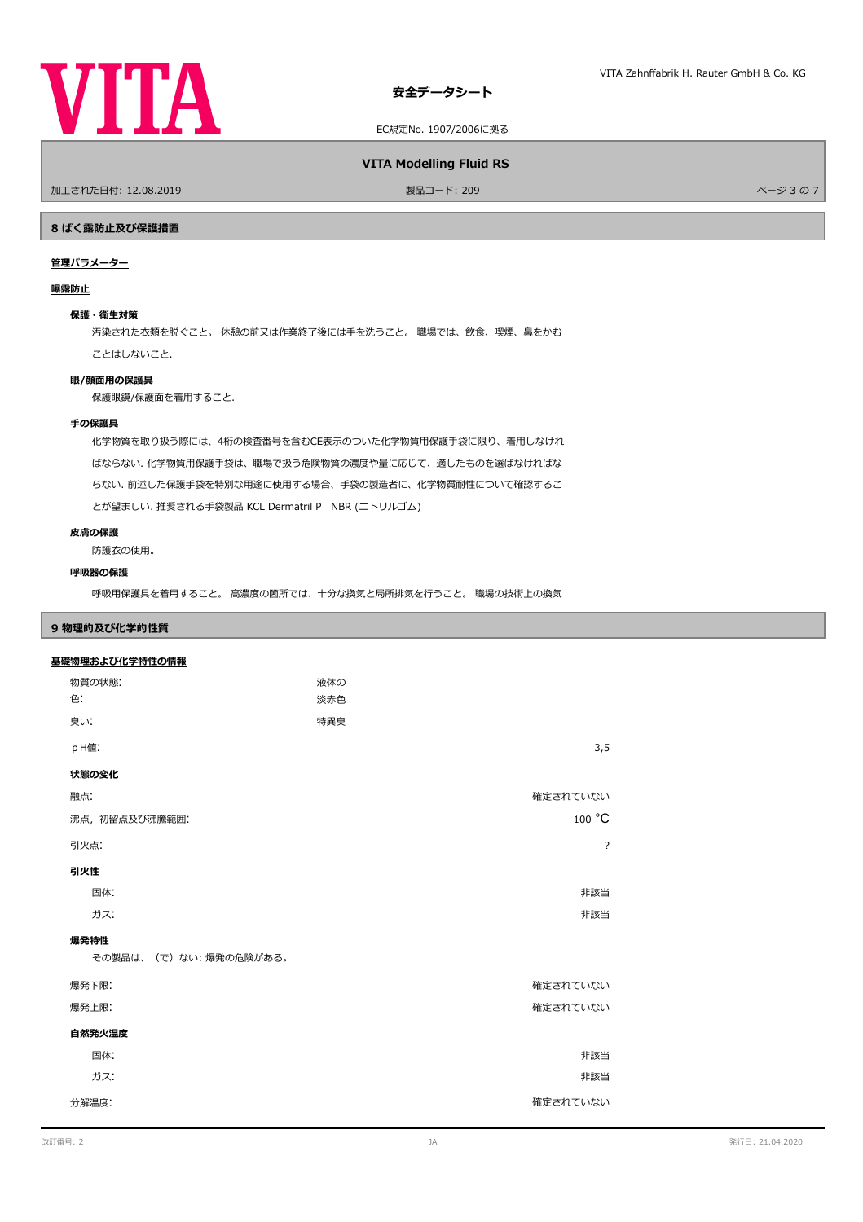

EC規定No. 1907/2006に拠る

### **VITA Modelling Fluid RS**

ールエされた日付: 12.08.2019 しかい こうしょう おおとこ かんきょう かんきょう 製品コード: 209 しゅうしょう こうしょう アイ・エム しゅうしょう ページ 3 の 7

#### **8 ばく露防止及び保護措置**

## **管理パラメーター**

#### **曝露防止**

#### **保護・衛生対策**

汚染された衣類を脱ぐこと。 休憩の前又は作業終了後には手を洗うこと。 職場では、飲食、喫煙、鼻をかむ ことはしないこと.

#### **眼/顔面用の保護具**

保護眼鏡/保護面を着用すること.

## **手の保護具**

化学物質を取り扱う際には、4桁の検査番号を含むCE表示のついた化学物質用保護手袋に限り、着用しなけれ ばならない. 化学物質用保護手袋は、職場で扱う危険物質の濃度や量に応じて、適したものを選ばなければな らない. 前述した保護手袋を特別な用途に使用する場合、手袋の製造者に、化学物質耐性について確認するこ とが望ましい. 推奨される手袋製品 KCL Dermatril P NBR (ニトリルゴム)

#### **皮膚の保護**

防護衣の使用。

## **呼吸器の保護**

呼吸用保護具を着用すること。 高濃度の箇所では、十分な換気と局所排気を行うこと。 職場の技術上の換気

## **9 物理的及び化学的性質**

| 基礎物理および化学特性の情報        |     |                           |
|-----------------------|-----|---------------------------|
| 物質の状態:                | 液体の |                           |
| 色:                    | 淡赤色 |                           |
| 臭い:                   | 特異臭 |                           |
| pH值:                  |     | 3,5                       |
| 状態の変化                 |     |                           |
| 融点:                   |     | 確定されていない                  |
| 沸点, 初留点及び沸騰範囲:        |     | $100\ ^{\circ}\textrm{C}$ |
| 引火点:                  |     | ?                         |
| 引火性                   |     |                           |
| 固体:                   |     | 非該当                       |
| ガス:                   |     | 非該当                       |
| 爆発特性                  |     |                           |
| その製品は、(で)ない:爆発の危険がある。 |     |                           |
| 爆発下限:                 |     | 確定されていない                  |
| 爆発上限:                 |     | 確定されていない                  |
| 自然発火温度                |     |                           |
| 固体:                   |     | 非該当                       |
| ガス:                   |     | 非該当                       |
| 分解温度:                 |     | 確定されていない                  |
|                       |     |                           |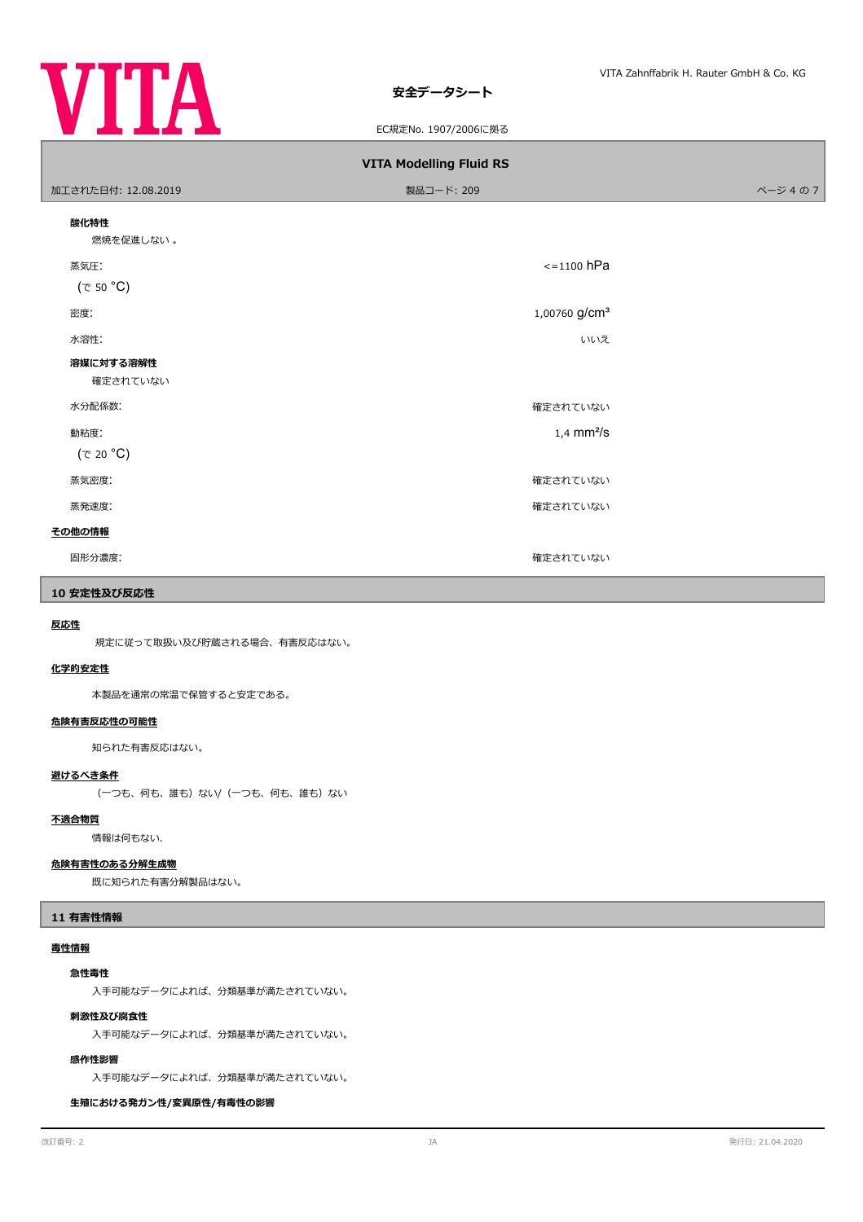

## **安全データシート**

EC規定No. 1907/2006に拠る

| <b>VITA Modelling Fluid RS</b> |                           |        |  |  |  |  |  |
|--------------------------------|---------------------------|--------|--|--|--|--|--|
| 加工された日付: 12.08.2019            | 製品コード: 209                | ページ4の7 |  |  |  |  |  |
| 酸化特性<br>燃焼を促進しない。              |                           |        |  |  |  |  |  |
| 蒸気圧:<br>(で 50 °C)              | $\le$ =1100 hPa           |        |  |  |  |  |  |
| 密度:                            | 1,00760 g/cm <sup>3</sup> |        |  |  |  |  |  |
| 水溶性:                           | いいえ                       |        |  |  |  |  |  |
| 溶媒に対する溶解性<br>確定されていない          |                           |        |  |  |  |  |  |
| 水分配係数:                         | 確定されていない                  |        |  |  |  |  |  |
| 動粘度:<br>$(\tau$ 20 °C)         | $1,4$ mm <sup>2</sup> /s  |        |  |  |  |  |  |
| 蒸気密度:                          | 確定されていない                  |        |  |  |  |  |  |
| 蒸発速度:                          | 確定されていない                  |        |  |  |  |  |  |
| その他の情報                         |                           |        |  |  |  |  |  |
| 固形分濃度:                         | 確定されていない                  |        |  |  |  |  |  |

## **10 安定性及び反応性**

#### **反応性**

規定に従って取扱い及び貯蔵される場合、有害反応はない。

#### **化学的安定性**

本製品を通常の常温で保管すると安定である。

### **危険有害反応性の可能性**

知られた有害反応はない。

## **避けるべき条件**

(一つも、何も、誰も)ない/(一つも、何も、誰も)ない

## **不適合物質**

情報は何もない.

## **危険有害性のある分解生成物**

既に知られた有害分解製品はない。

#### **11 有害性情報**

#### **毒性情報**

#### **急性毒性**

入手可能なデータによれば、分類基準が満たされていない。

#### **刺激性及び腐食性**

入手可能なデータによれば、分類基準が満たされていない。

#### **感作性影響**

入手可能なデータによれば、分類基準が満たされていない。

**生殖における発ガン性/変異原性/有毒性の影響**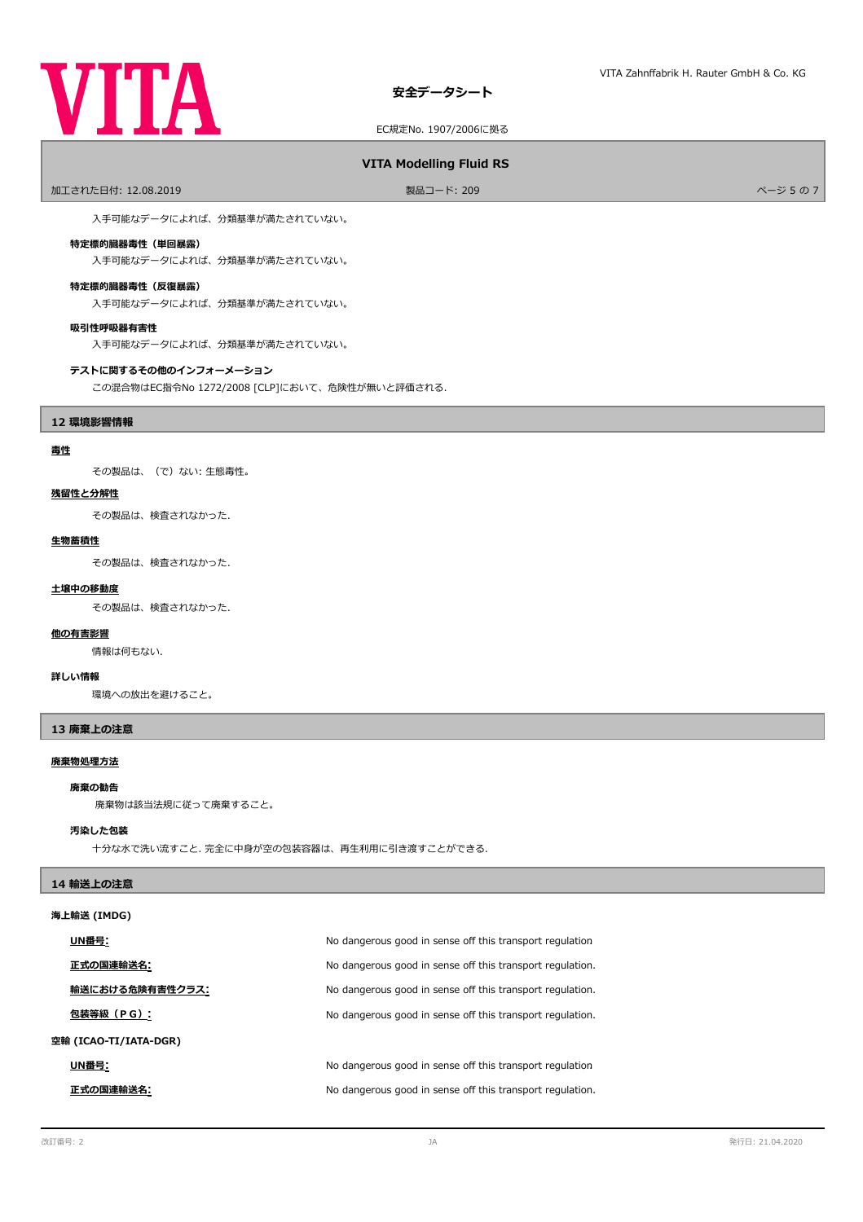

## **安全データシート**

EC規定No. 1907/2006に拠る

## **VITA Modelling Fluid RS**

ールエされた日付: 12.08.2019 しかい こうしょう おおとこ かんきょう かんきょう 製品コード: 209 しゅうしょう かんきょう かんこう スタックス パージ 5 の 7

入手可能なデータによれば、分類基準が満たされていない。

#### **特定標的臓器毒性(単回暴露)**

入手可能なデータによれば、分類基準が満たされていない。

#### **特定標的臓器毒性(反復暴露)**

入手可能なデータによれば、分類基準が満たされていない。

#### **吸引性呼吸器有害性**

入手可能なデータによれば、分類基準が満たされていない。

#### **テストに関するその他のインフォーメーション**

この混合物はEC指令No 1272/2008 [CLP]において、危険性が無いと評価される.

### **12 環境影響情報**

#### **毒性**

その製品は、(で)ない: 生態毒性。

#### **残留性と分解性**

その製品は、検査されなかった.

#### **生物蓄積性**

その製品は、検査されなかった.

#### **土壌中の移動度**

その製品は、検査されなかった.

#### **他の有害影響**

情報は何もない.

#### **詳しい情報**

環境への放出を避けること。

## **13 廃棄上の注意**

# **廃棄物処理方法**

# **廃棄の勧告**

廃棄物は該当法規に従って廃棄すること。

#### **汚染した包装**

十分な水で洗い流すこと. 完全に中身が空の包装容器は、再生利用に引き渡すことができる.

#### **14 輸送上の注意**

#### **海上輸送 (IMDG)**

|                       | UN番号:           | No dangerous good in sense off this transport regulation  |
|-----------------------|-----------------|-----------------------------------------------------------|
|                       | 正式の国連輸送名:       | No dangerous good in sense off this transport regulation. |
|                       | 輸送における危険有害性クラス: | No dangerous good in sense off this transport regulation. |
|                       | 包装等級(PG):       | No dangerous good in sense off this transport regulation. |
| 空輸 (ICAO-TI/IATA-DGR) |                 |                                                           |
|                       | UN番号:           | No dangerous good in sense off this transport regulation  |
|                       | 正式の国連輸送名:       | No dangerous good in sense off this transport regulation. |
|                       |                 |                                                           |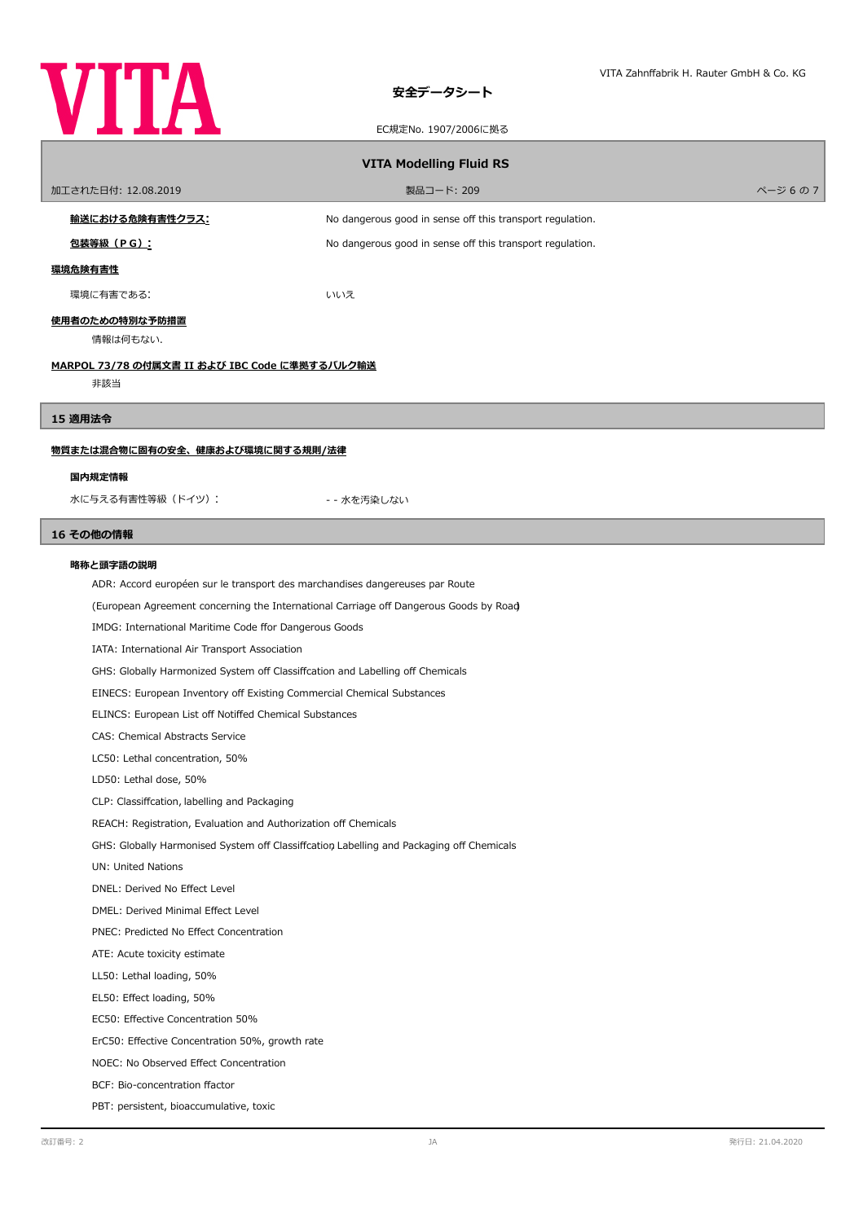

ſ

ſ

## **安全データシート**

## EC規定No. 1907/2006に拠る

| LUMALINU. IJU // ZUUUILJE'Q                                                  |                                                                                          |         |  |  |  |  |
|------------------------------------------------------------------------------|------------------------------------------------------------------------------------------|---------|--|--|--|--|
| <b>VITA Modelling Fluid RS</b>                                               |                                                                                          |         |  |  |  |  |
| 加工された日付: 12.08.2019                                                          | 製品コード: 209                                                                               | ページ 6の7 |  |  |  |  |
| <u>輸送における危険有害性クラス:</u>                                                       | No dangerous good in sense off this transport regulation.                                |         |  |  |  |  |
| <u>包装等級(PG):</u>                                                             | No dangerous good in sense off this transport regulation.                                |         |  |  |  |  |
|                                                                              |                                                                                          |         |  |  |  |  |
| <u>環境危険有害性</u>                                                               |                                                                                          |         |  |  |  |  |
| 環境に有害である:                                                                    | いいえ                                                                                      |         |  |  |  |  |
| 使用者のための特別な予防措置<br>情報は何もない.                                                   |                                                                                          |         |  |  |  |  |
| MARPOL 73/78 の付属文書 II および IBC Code に準拠するバルク輸送                                |                                                                                          |         |  |  |  |  |
| 非該当                                                                          |                                                                                          |         |  |  |  |  |
| 15 適用法令                                                                      |                                                                                          |         |  |  |  |  |
| <u>物質または混合物に固有の安全、健康および環境に関する規則/法律</u>                                       |                                                                                          |         |  |  |  |  |
|                                                                              |                                                                                          |         |  |  |  |  |
| 国内規定情報                                                                       |                                                                                          |         |  |  |  |  |
| 水に与える有害性等級 (ドイツ) :                                                           | -- 水を汚染しない                                                                               |         |  |  |  |  |
| 16 その他の情報                                                                    |                                                                                          |         |  |  |  |  |
| 略称と頭字語の説明                                                                    |                                                                                          |         |  |  |  |  |
| ADR: Accord européen sur le transport des marchandises dangereuses par Route |                                                                                          |         |  |  |  |  |
|                                                                              | (European Agreement concerning the International Carriage off Dangerous Goods by Road    |         |  |  |  |  |
|                                                                              | IMDG: International Maritime Code ffor Dangerous Goods                                   |         |  |  |  |  |
|                                                                              | IATA: International Air Transport Association                                            |         |  |  |  |  |
|                                                                              | GHS: Globally Harmonized System off Classiffcation and Labelling off Chemicals           |         |  |  |  |  |
|                                                                              | EINECS: European Inventory off Existing Commercial Chemical Substances                   |         |  |  |  |  |
|                                                                              | ELINCS: European List off Notiffed Chemical Substances                                   |         |  |  |  |  |
| CAS: Chemical Abstracts Service                                              |                                                                                          |         |  |  |  |  |
| LC50: Lethal concentration, 50%                                              |                                                                                          |         |  |  |  |  |
| LD50: Lethal dose, 50%                                                       |                                                                                          |         |  |  |  |  |
| CLP: Classiffcation, labelling and Packaging                                 |                                                                                          |         |  |  |  |  |
| REACH: Registration, Evaluation and Authorization off Chemicals              |                                                                                          |         |  |  |  |  |
|                                                                              | GHS: Globally Harmonised System off Classiffcation Labelling and Packaging off Chemicals |         |  |  |  |  |
| UN: United Nations                                                           |                                                                                          |         |  |  |  |  |
| DNEL: Derived No Effect Level                                                |                                                                                          |         |  |  |  |  |
| DMEL: Derived Minimal Effect Level                                           |                                                                                          |         |  |  |  |  |
| PNEC: Predicted No Effect Concentration                                      |                                                                                          |         |  |  |  |  |
| ATE: Acute toxicity estimate                                                 |                                                                                          |         |  |  |  |  |
| LL50: Lethal loading, 50%                                                    |                                                                                          |         |  |  |  |  |
| EL50: Effect loading, 50%                                                    |                                                                                          |         |  |  |  |  |
| EC50: Effective Concentration 50%                                            |                                                                                          |         |  |  |  |  |
| ErC50: Effective Concentration 50%, growth rate                              |                                                                                          |         |  |  |  |  |
| NOEC: No Observed Effect Concentration                                       |                                                                                          |         |  |  |  |  |
| BCF: Bio-concentration ffactor                                               |                                                                                          |         |  |  |  |  |

PBT: persistent, bioaccumulative, toxic